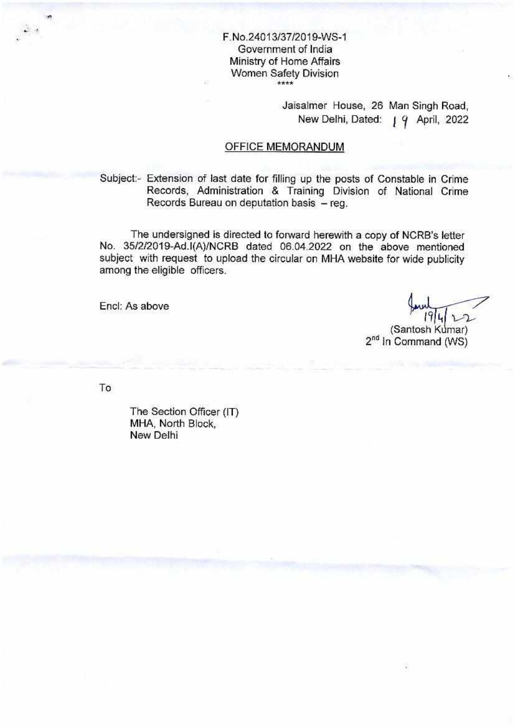# F.No.24013/37/2019-WS-1 Government of India Ministry of Home Affairs Women Safety Division

Jaisalmer House, 26 Man Singh Road, New Delhi, Dated: | 9 April, 2022

### OFFICE MEMORANDUM

Subject:- Extension of last date for filling up the posts of Constable in Crime Records, Administration & Training Division of National Crime Records Bureau on deputation basis — reg.

The undersigned is directed to forward herewith a copy of NCRB's letter No. 35/2/2019-Ad.l(A)/NCRB dated 06.04.2022 on the above mentioned subject with request to upload the circular on MHA website for wide publicity among the eligible officers.

Encl: As above

17

(Santosh Kumar) 2<sup>nd</sup> In Command (WS)

To

 $\tilde{\mathcal{Q}}_{\mathcal{A}}$  .

The Section Officer (IT) MHA, North Block, New Delhi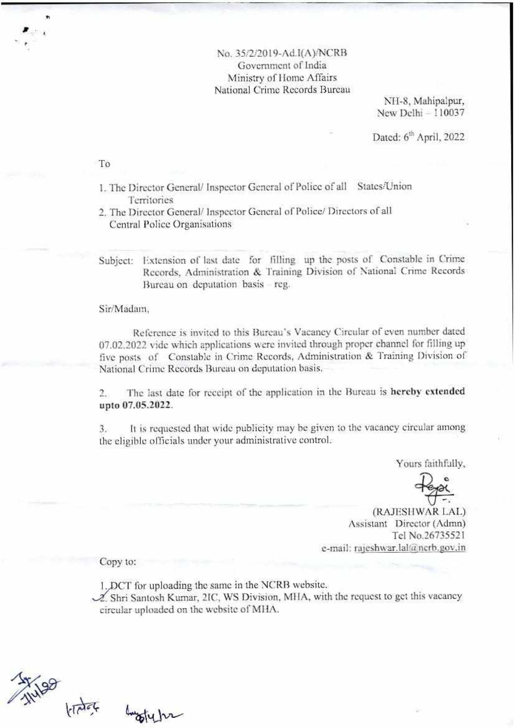### No. 35/2/2019-Ad.I(A)/NCRB Government of India Ministry of Home Affairs National Crime Records Bureau

NII-8, Mahipalpur, New Delhi - 110037

Dated: 6<sup>th</sup> April, 2022

To

4 **<sup>A</sup>**

1. The Director General/ Inspector General of Police of all States/Union Territories

2. The Director General/ Inspector General of Police/ Directors of all Central Police Organisations

Subject: Extension of last date for filling up the posts of Constable in Crime Records, Administration & Training Division of National Crime Records Bureau on deputation basis - reg.

Sir/Madam,

Reference is invited to this Bureau's Vacancy Circular of even number dated 07.02.2022 vide which applications were invited through proper channel for filling up five posts of Constable in Crime Records, Administration & Training Division of National Crime Records Bureau on deputation basis.

2. The last date for receipt of the application in the Bureau is hereby extended upto 07.05.2022.

3. It is requested that wide publicity may be given to the vacancy circular among the eligible officials under your administrative control.

Yours faithfully,

(RATESHWAR LAL) Assistant Director (Admn) Tel No.26735521 e-mail: rajeshwar.lal@ncrb.gov.in

Copy to:

buggty hr

1. DCT for uploading the same in the NCRB website.

 $\mathcal{A}$ . Shri Santosh Kumar, 2IC, WS Division, MHA, with the request to get this vacancy circular uploaded on the websitc of MBA.

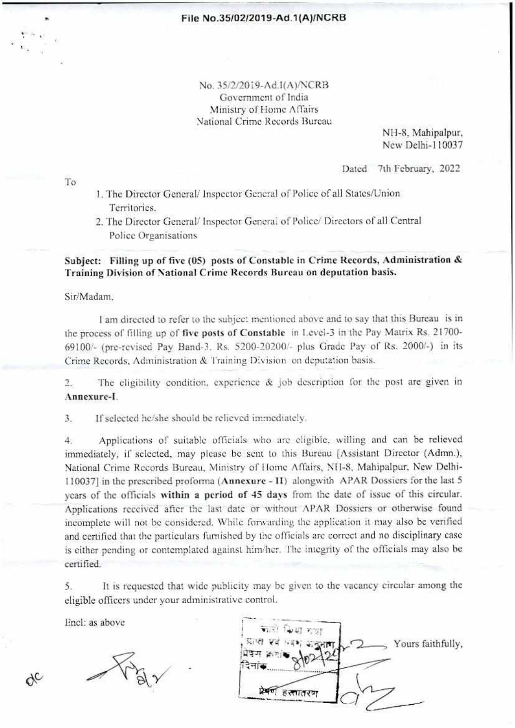No. 35/2/2019-Ad.1(A)/NCRB Government of India Ministry of Home Affairs National Crime Records Bureau

> NH-8, Mahipalpur, Ncw Delhi-I 10037

To

Dated 7th February, 2022

- 1. The Director General/ Inspector General of Police of all States/Union Territories.
- 2. The Director General/ Inspector General of Police/ Directors of all Central Police Organisations

Subject: Filling up of five (05) posts of Constable in Crime Records, Administration & Training Division of National Crime Records Bureau on deputation basis.

Sir/Madam,

I am directed to refer to the subject mentioned above and to say that this Bureau is in the process of filling up of five posts of Constable in Level-3 in the Pay Matrix Rs. 21700- 69100/- (pre-revised Pay Band-3, Rs. 5200-20200/- plus Grade Pay of Rs. 2000/-) in its Crime Records, Administration & Training Division on deputation basis.

2. The eligibility condition, experience & job description for the post are given in **Annexure-I.** 

3. If selected he/she should be relieved immediately.

4. Applications of suitable officials who arc eligible, willing and can be relieved immediately, if selected, may please be sent to this Bureau [Assistant Director (Admn.), National Crime Records Bureau, Ministry of I tome Affairs, NII-8, Mahipalpur, New Delhi-110037] in the prescribed proforma (Annexure - **II)** alongwith APAR Dossiers for the last 5 years of the officials **within a period of** 45 days from the date of issue of this circular. Applications received after the last date or without APAR Dossiers or otherwise found incomplete will not be considered. While forwarding the application it may also be verified and certified that the particulars furnished by the officials arc correct and no disciplinary ease is either pending or contemplated against him/her. The integrity of the officials may also be certified.

5. It is requested that wide publicity may be given to the vacancy circular among the eligible officers under your administrative control.

Encl: as above

XC

प्रकाल है स्लातरण .<br>प्राप्त एवं भवश्य अञ्चल |मेदन  $Q_{\mu}$  $\sim$ - Yours faithfully,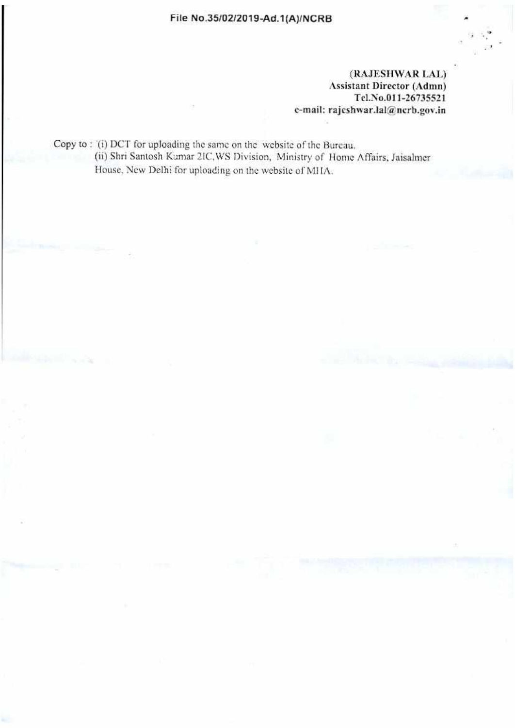#### File No.35/02/2019-Ad.1(A)/NCRB

(RAJESITWAR LAL) Assistant Director (Admn) Tel.No.011-26735521 e-mail: rajcshwar.lal@ncrb.gov.in

Copy to : '(i) DCT for uploading the same on the website of the Bureau. (ii) Shri Santosh Kumar 21C,WS Division, Ministry of Home Affairs, Jaisalincr House, New Delhi for uploading on the website of MIIA.